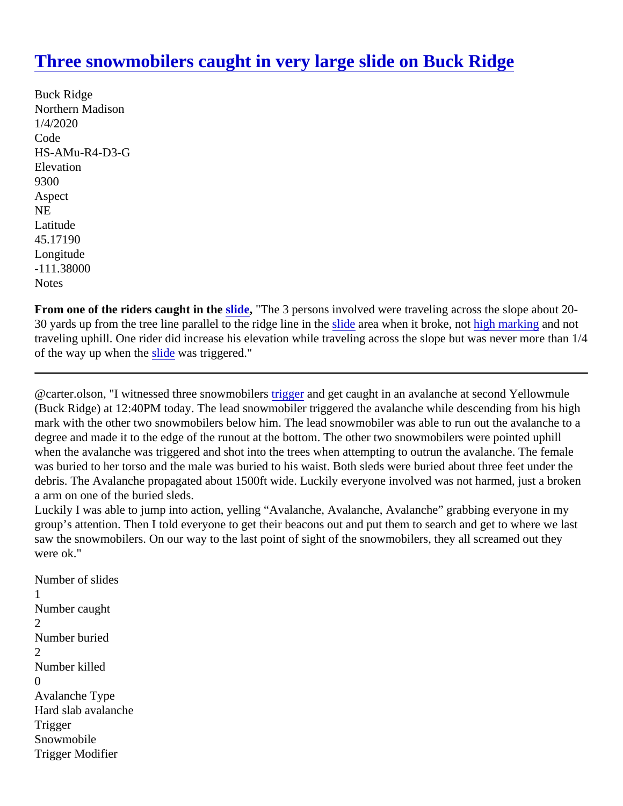## [Three snowmobilers caught in very large slide on Buck Ridg](https://www.mtavalanche.com/node/21453)e

Buck Ridge Northern Madison 1/4/2020 Code HS-AMu-R4-D3-G **Elevation** 9300 Aspect NE Latitude 45.17190 Longitude -111.38000 **Notes** 

From one of the riders caught in th[e slide](https://www.mtavalanche.com/taxonomy/term/305), "The 3 persons involved were traveling across the slope about 2030 yards up from the tree line parallel to the ridge line i[n the](https://avalanche.org/avalanche-encylopedia#slide) area when it broke, notigh marking and not traveling uphill. One rider did increase his elevation while traveling across the slope but was never more than 1/4 of the way up when the lide was triggered."

@carter.olson, "I witnessed three snowmobilers and get caught in an avalanche at second Yellowmule (Buck Ridge) at 12:40PM today. The lead snowmobiler triggered the avalanche while descending from his high mark with the other two snowmobilers below him. The lead snowmobiler was able to run out the avalanche to degree and made it to the edge of the runout at the bottom. The other two snowmobilers were pointed uphill when the avalanche was triggered and shot into the trees when attempting to outrun the avalanche. The femal was buried to her torso and the male was buried to his waist. Both sleds were buried about three feet under th debris. The Avalanche propagated about 1500ft wide. Luckily everyone involved was not harmed, just a broke a arm on one of the buried sleds.

Luckily I was able to jump into action, yelling "Avalanche, Avalanche, Avalanche" grabbing everyone in my group's attention. Then I told everyone to get their beacons out and put them to search and get to where we I saw the snowmobilers. On our way to the last point of sight of the snowmobilers, they all screamed out they were ok."

Number of slides 1 Number caught 2 Number buried  $\mathcal{P}$ Number killed  $\Omega$ Avalanche Type Hard slab avalanche **Trigger Snowmobile** Trigger Modifier